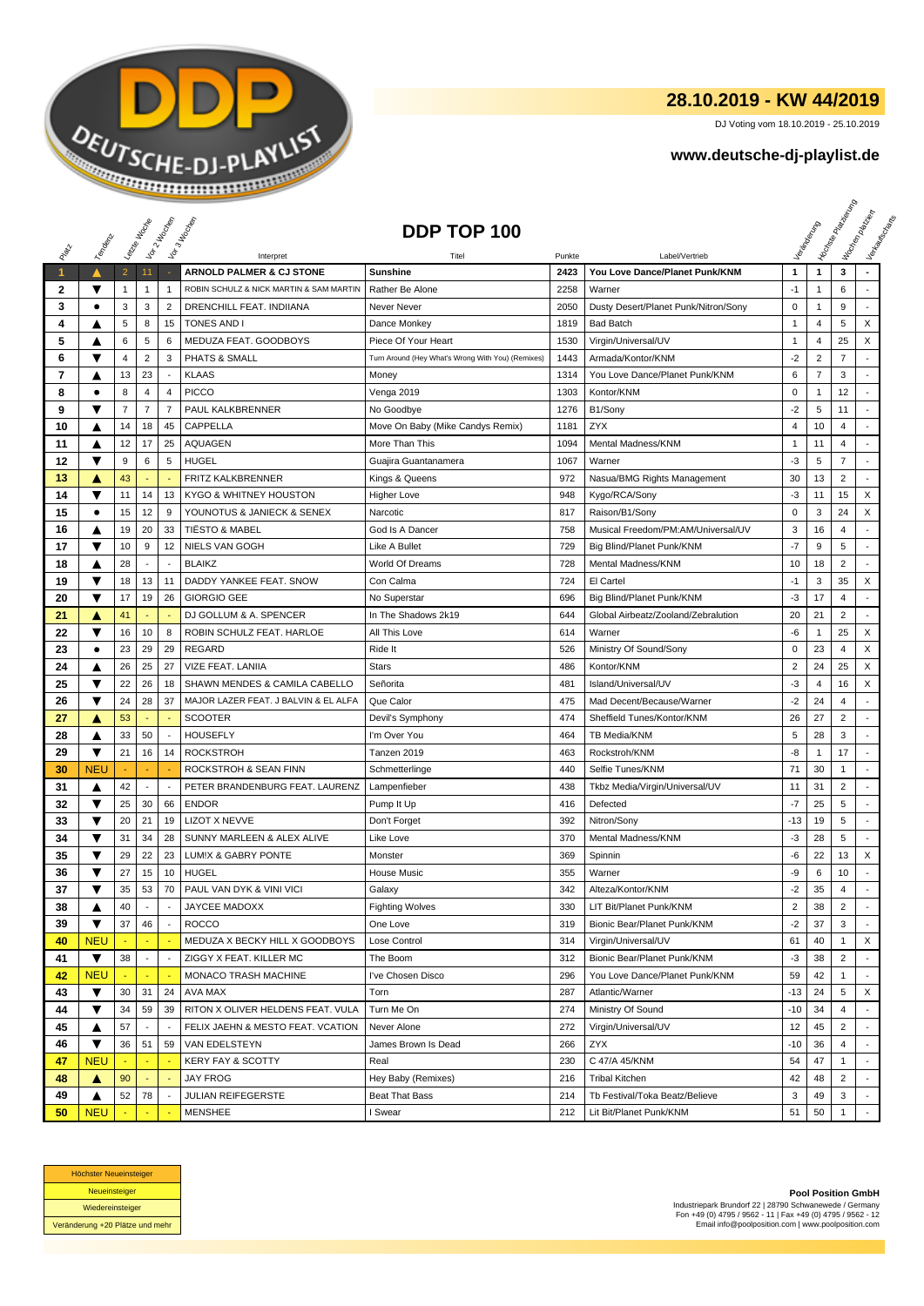

## **28.10.2019 - KW 44/2019**

DJ Voting vom 18.10.2019 - 25.10.2019

## **www.deutsche-dj-playlist.de**

|                   |                         | Leizie Hoope        |                          | Voir 2 Moone                  | Vor 3 Hocher                                                        | DDP TOP 100                                       |              |                                                     |                |                                  | <b>Licitorial Residence</b> | Workenberg<br>Verkouwerd arts |
|-------------------|-------------------------|---------------------|--------------------------|-------------------------------|---------------------------------------------------------------------|---------------------------------------------------|--------------|-----------------------------------------------------|----------------|----------------------------------|-----------------------------|-------------------------------|
| RIVER             | Templary                |                     |                          |                               |                                                                     |                                                   |              |                                                     |                |                                  |                             |                               |
|                   |                         |                     |                          |                               | Interpret                                                           | Titel                                             | Punkte       | Label/Vertrieb                                      |                |                                  |                             |                               |
| $\mathbf{1}$      | ▼                       | $\overline{2}$      | 11                       | 1                             | ARNOLD PALMER & CJ STONE<br>ROBIN SCHULZ & NICK MARTIN & SAM MARTIN | <b>Sunshine</b>                                   | 2423         | You Love Dance/Planet Punk/KNM<br>Warner            | 1<br>$-1$      | $\mathbf{1}$                     | 3<br>6                      | ٠                             |
| $\mathbf{2}$<br>3 | ٠                       | $\mathbf{1}$<br>3   | $\mathbf{1}$<br>3        | $\overline{2}$                | DRENCHILL FEAT. INDIIANA                                            | Rather Be Alone<br>Never Never                    | 2258<br>2050 | Dusty Desert/Planet Punk/Nitron/Sony                | 0              | 1<br>$\mathbf{1}$                | 9                           |                               |
| 4                 |                         | $\sqrt{5}$          | 8                        | 15                            | <b>TONES AND I</b>                                                  |                                                   | 1819         |                                                     | 1              | $\overline{4}$                   | 5                           | X                             |
| 5                 |                         | 6                   | 5                        | 6                             | MEDUZA FEAT. GOODBOYS                                               | Dance Monkey<br>Piece Of Your Heart               | 1530         | <b>Bad Batch</b><br>Virgin/Universal/UV             | 1              | $\overline{4}$                   | 25                          | X                             |
|                   | ▲<br>▼                  |                     | $\sqrt{2}$               |                               |                                                                     | Turn Around (Hey What's Wrong With You) (Remixes) |              |                                                     | $-2$           |                                  | $\overline{7}$              |                               |
| 6<br>7            |                         | 4                   |                          | 3<br>$\overline{\phantom{a}}$ | <b>PHATS &amp; SMALL</b><br><b>KLAAS</b>                            |                                                   | 1443         | Armada/Kontor/KNM<br>You Love Dance/Planet Punk/KNM | 6              | $\overline{c}$<br>$\overline{7}$ | 3                           |                               |
|                   | ▲                       | 13                  | 23                       |                               |                                                                     | Money                                             | 1314         |                                                     |                |                                  |                             | $\overline{a}$                |
| 8                 | ٠                       | 8<br>$\overline{7}$ | 4<br>$\overline{7}$      | 4<br>$\overline{7}$           | <b>PICCO</b>                                                        | Venga 2019                                        | 1303         | Kontor/KNM                                          | $\mathbf 0$    | $\mathbf{1}$                     | 12                          |                               |
| 9                 | ▼                       |                     |                          |                               | PAUL KALKBRENNER                                                    | No Goodbye                                        | 1276         | B1/Sony                                             | $-2$           | 5                                | 11                          |                               |
| 10                | ▲                       | 14                  | 18                       | 45                            | CAPPELLA                                                            | Move On Baby (Mike Candys Remix)                  | 1181         | ZYX                                                 | 4              | 10                               | 4                           | $\overline{a}$                |
| 11                | ▲                       | 12                  | 17                       | 25                            | <b>AQUAGEN</b>                                                      | More Than This                                    | 1094         | Mental Madness/KNM                                  | 1              | 11                               | 4                           |                               |
| 12                | ▼                       | 9                   | 6                        | 5                             | <b>HUGEL</b>                                                        | Guajira Guantanamera                              | 1067         | Warner                                              | -3             | 5                                | $\overline{7}$              | ÷                             |
| 13                | A                       | 43                  |                          |                               | <b>FRITZ KALKBRENNER</b>                                            | Kings & Queens                                    | 972          | Nasua/BMG Rights Management                         | 30             | 13                               | $\overline{2}$              | $\sim$                        |
| 14                | ▼                       | 11                  | 14                       | 13                            | KYGO & WHITNEY HOUSTON                                              | <b>Higher Love</b>                                | 948          | Kygo/RCA/Sony                                       | -3             | 11                               | 15                          | X                             |
| 15                | $\bullet$               | 15                  | 12                       | 9                             | YOUNOTUS & JANIECK & SENEX                                          | Narcotic                                          | 817          | Raison/B1/Sony                                      | 0              | 3                                | 24                          | X                             |
| 16                | ▲                       | 19                  | 20                       | 33                            | <b>TIËSTO &amp; MABEL</b>                                           | God Is A Dancer                                   | 758          | Musical Freedom/PM:AM/Universal/UV                  | 3              | 16                               | 4                           |                               |
| 17                | ▼                       | 10                  | 9                        | 12                            | NIELS VAN GOGH                                                      | Like A Bullet                                     | 729          | Big Blind/Planet Punk/KNM                           | $-7$           | 9                                | 5                           |                               |
| 18                | ▲                       | 28                  | $\sim$                   | $\overline{\phantom{a}}$      | <b>BLAIKZ</b>                                                       | World Of Dreams                                   | 728          | Mental Madness/KNM                                  | 10             | 18                               | $\overline{2}$              |                               |
| 19                | ▼                       | 18                  | 13                       | 11                            | DADDY YANKEE FEAT. SNOW                                             | Con Calma                                         | 724          | El Cartel                                           | $-1$           | 3                                | 35                          | X                             |
| 20                | $\overline{\textbf{v}}$ | 17                  | 19                       | 26                            | <b>GIORGIO GEE</b>                                                  | No Superstar                                      | 696          | Big Blind/Planet Punk/KNM                           | $-3$           | 17                               | $\overline{4}$              |                               |
| 21                | A                       | 41                  |                          |                               | DJ GOLLUM & A. SPENCER                                              | In The Shadows 2k19                               | 644          | Global Airbeatz/Zooland/Zebralution                 | 20             | 21                               | $\overline{2}$              | $\overline{a}$                |
| 22                | ▼                       | 16                  | 10                       | 8                             | ROBIN SCHULZ FEAT. HARLOE                                           | All This Love                                     | 614          | Warner                                              | -6             | 1                                | 25                          | X                             |
| 23                | $\bullet$               | 23                  | 29                       | 29                            | <b>REGARD</b>                                                       | Ride It                                           | 526          | Ministry Of Sound/Sony                              | 0              | 23                               | 4                           | X                             |
| 24                | ▲                       | 26                  | 25                       | 27                            | VIZE FEAT. LANIIA                                                   | <b>Stars</b>                                      | 486          | Kontor/KNM                                          | $\overline{2}$ | 24                               | 25                          | X                             |
| 25                | ▼                       | 22                  | 26                       | 18                            | SHAWN MENDES & CAMILA CABELLO                                       | Señorita                                          | 481          | Island/Universal/UV                                 | -3             | 4                                | 16                          | X                             |
| 26                | ▼                       | 24                  | 28                       | 37                            | MAJOR LAZER FEAT. J BALVIN & EL ALFA                                | Que Calor                                         | 475          | Mad Decent/Because/Warner                           | -2             | 24                               | 4                           |                               |
| 27                | ▲                       | 53                  |                          |                               | <b>SCOOTER</b>                                                      | Devil's Symphony                                  | 474          | Sheffield Tunes/Kontor/KNM                          | 26             | 27                               | $\overline{2}$              | $\overline{\phantom{a}}$      |
| 28                | ▲                       | 33                  | 50                       | $\overline{\phantom{a}}$      | <b>HOUSEFLY</b>                                                     | I'm Over You                                      | 464          | TB Media/KNM                                        | 5              | 28                               | 3                           |                               |
| 29                | ▼                       | 21                  | 16                       | 14                            | <b>ROCKSTROH</b>                                                    | Tanzen 2019                                       | 463          | Rockstroh/KNM                                       | -8             | 1                                | 17                          |                               |
| 30                | <b>NEU</b>              |                     |                          |                               | ROCKSTROH & SEAN FINN                                               | Schmetterlinge                                    | 440          | Selfie Tunes/KNM                                    | 71             | 30                               | 1                           | $\overline{a}$                |
| 31                | ▲                       | 42                  | $\overline{\phantom{a}}$ | $\blacksquare$                | PETER BRANDENBURG FEAT. LAURENZ                                     | Lampenfieber                                      | 438          | Tkbz Media/Virgin/Universal/UV                      | 11             | 31                               | $\overline{c}$              |                               |
| 32                | ▼                       | 25                  | 30                       | 66                            | <b>ENDOR</b>                                                        | Pump It Up                                        | 416          | Defected                                            | $-7$           | 25                               | 5                           | $\sim$                        |
| 33                | ▼                       | 20                  | 21                       | 19                            | <b>LIZOT X NEVVE</b>                                                | Don't Forget                                      | 392          | Nitron/Sony                                         | -13            | 19                               | 5                           | $\overline{\phantom{a}}$      |
| 34                | ▼                       | 31                  | 34                       | 28                            | SUNNY MARLEEN & ALEX ALIVE                                          | Like Love                                         | 370          | Mental Madness/KNM                                  | -3             | 28                               | 5                           | ÷.                            |
| 35                | ▼                       | 29                  | 22                       | 23                            | LUM!X & GABRY PONTE                                                 | Monster                                           | 369          | Spinnin                                             | -6             | 22                               | 13                          | X                             |
| 36                | ▼                       | 27                  | 15                       | 10                            | <b>HUGEL</b>                                                        | <b>House Music</b>                                | 355          | Warner                                              | -9             | 6                                | 10                          |                               |
| 37                | ▼                       | 35                  | 53                       | 70                            | PAUL VAN DYK & VINI VICI                                            | Galaxy                                            | 342          | Alteza/Kontor/KNM                                   | $-2$           | 35                               | 4                           |                               |
| 38                | ▲                       | 40                  | $\overline{\phantom{a}}$ |                               | JAYCEE MADOXX                                                       | <b>Fighting Wolves</b>                            | 330          | LIT Bit/Planet Punk/KNM                             | $\overline{a}$ | 38                               | 2                           |                               |
| 39                | ▼                       | 37                  | 46                       | $\sim$                        | <b>ROCCO</b>                                                        | One Love                                          | 319          | Bionic Bear/Planet Punk/KNM                         | $-2$           | 37                               | 3                           |                               |
| 40                | <b>NEU</b>              |                     |                          | $\sim$                        | MEDUZA X BECKY HILL X GOODBOYS                                      | Lose Control                                      | 314          | Virgin/Universal/UV                                 | 61             | 40                               | $\mathbf{1}$                | X                             |
| 41                | ▼                       | 38                  | $\overline{\phantom{a}}$ | $\overline{\phantom{a}}$      | ZIGGY X FEAT. KILLER MC                                             | The Boom                                          | 312          | Bionic Bear/Planet Punk/KNM                         | -3             | 38                               | $\overline{2}$              |                               |
| 42                | <b>NEU</b>              |                     |                          |                               | MONACO TRASH MACHINE                                                | I've Chosen Disco                                 | 296          | You Love Dance/Planet Punk/KNM                      | 59             | 42                               | $\mathbf{1}$                |                               |
| 43                | ▼                       | 30                  | 31                       | 24                            | AVA MAX                                                             | Torn                                              | 287          | Atlantic/Warner                                     | -13            | 24                               | 5                           | X                             |
| 44                | ▼                       | 34                  | 59                       | 39                            | RITON X OLIVER HELDENS FEAT. VULA                                   | Turn Me On                                        | 274          | Ministry Of Sound                                   | $-10$          | 34                               | $\overline{4}$              |                               |
| 45                | ▲                       | 57                  |                          |                               | FELIX JAEHN & MESTO FEAT. VCATION                                   | Never Alone                                       | 272          | Virgin/Universal/UV                                 | 12             | 45                               | $\overline{2}$              |                               |
| 46                | ▼                       | 36                  | 51                       | 59                            | VAN EDELSTEYN                                                       | James Brown Is Dead                               | 266          | ZYX                                                 | $-10$          | 36                               | $\overline{4}$              | $\sim$                        |
| 47                | <b>NEU</b>              |                     |                          | $\sim$                        | KERY FAY & SCOTTY                                                   | Real                                              | 230          | C 47/A 45/KNM                                       | 54             | 47                               | $\mathbf{1}$                |                               |
| 48                | ▲                       | 90                  |                          |                               | JAY FROG                                                            | Hey Baby (Remixes)                                | 216          | <b>Tribal Kitchen</b>                               | 42             | 48                               | 2                           |                               |
| 49                | ▲                       | 52                  | 78                       |                               | JULIAN REIFEGERSTE                                                  | Beat That Bass                                    | 214          | Tb Festival/Toka Beatz/Believe                      | 3              | 49                               | 3                           |                               |
| 50                | <b>NEU</b>              |                     |                          |                               | MENSHEE                                                             | I Swear                                           | 212          | Lit Bit/Planet Punk/KNM                             | 51             | 50                               | $\mathbf{1}$                |                               |



**Pool Position GmbH** Industriepark Brundorf 22 | 28790 Schwanewede / Germany Fon +49 (0) 4795 / 9562 - 11 | Fax +49 (0) 4795 / 9562 - 12 Email info@poolposition.com | www.poolposition.com